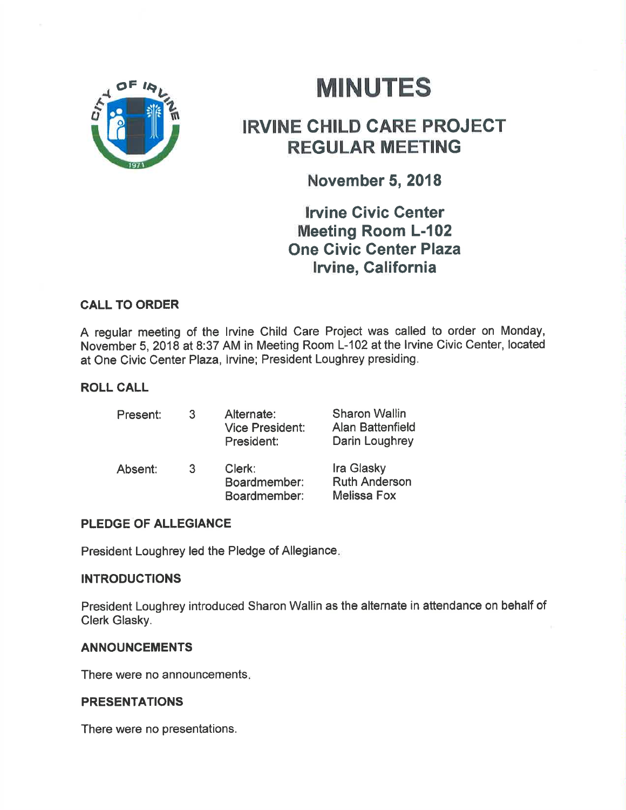

# **MINUTES**

# IRVINE CHILD GARE PROJECT REGULAR MEETING

## November 5, 2018

**Irvine Civic Center** Meeting Room L-102 One Civic Center Plaza lrvine, Galifornia

### CALL TO ORDER

A regular meeting of the Irvine Child Care Project was called to order on Monday, November 5,2018 at 8:37 AM in Meeting Room L-102 at the lrvine Civic Center, located at One Civic Center Plaza, lrvine; President Loughrey presiding,

### ROLL CALL

| Present: | 3 | Alternate:<br><b>Vice President:</b><br>President: | <b>Sharon Wallin</b><br><b>Alan Battenfield</b><br>Darin Loughrey |
|----------|---|----------------------------------------------------|-------------------------------------------------------------------|
| Absent:  | 3 | Clerk:<br>Boardmember:<br>Boardmember:             | Ira Glasky<br><b>Ruth Anderson</b><br><b>Melissa Fox</b>          |

### PLEDGE OF ALLEGIANCE

President Loughrey led the Pledge of Allegiance

### INTRODUCTIONS

President Loughrey introduced Sharon Wallin as the alternate in attendance on behalf of Clerk Glasky.

### **ANNOUNCEMENTS**

There were no announcements

### PRESENTATIONS

There were no presentations,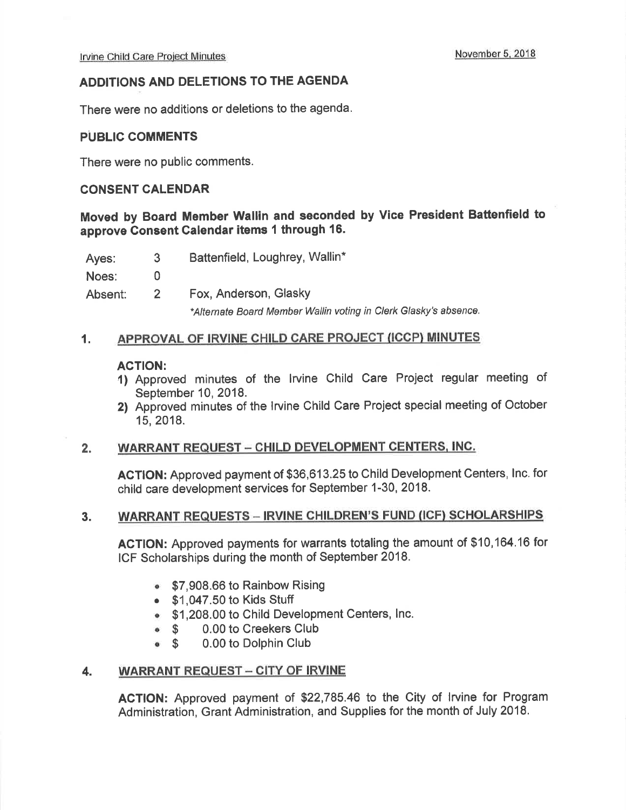#### ADDITIONS AND DELETIONS TO THE AGENDA

There were no additions or deletions to the agenda.

#### PUBLIC COMMENTS

There were no public comments.

#### CONSENT CALENDAR

### Moved by Board Member Wallin and seconded by Vice President Battenfield to approve Gonsent Calendar items I through 16.

Ayes: 3 Battenfield, Loughrey, Wallin\*

Noes: 0

Absent: 2 Fox, Anderson, Glasky

\*Alternate Board Member Wallin voting in Clerk Glasky's absence.

#### 1. APPROVAL OF IRVINE CHILD CARE PROJECT (ICCP) MINUTES

- ACTION:<br>1) Approved minutes of the Irvine Child Care Project regular meeting of September 10, 2018.
- 2) Approved minutes of the lrvine Child Care Project special meeting of October 15,2018.

#### 2. WARRANT REQUEST - CHILD DEVELOPMENT CENTERS, INC.

AGTION: Approved payment of \$36,613.25 to Child Development Centers, Inc. for child care development services for September 1-30, 2018.

#### 3. WARRANT REQUESTS - IRVINE CHILDREN'S FUND (ICF) SCHOLARSHIPS

ACTION: Approved payments for warrants totaling the amount of \$10,164.16 for ICF Scholarships during the month of September 2018.

- **ST, 908.66 to Rainbow Rising**
- \$1,047.50 to Kids Stuff
- . \$1,208.00 to Child Development Centers, lnc.
- 
- \$ 0.00 to Creekers Club<br>\$ 0.00 to Dolphin Club o \$ 0.00 to Dolphin Club

#### 4. WARRANT REQUEST - CITY OF IRVINE

ACTION: Approved payment of \$22,785.46 to the City of lrvine for Program Administration, Grant Administration, and Supplies for the month of July 2018.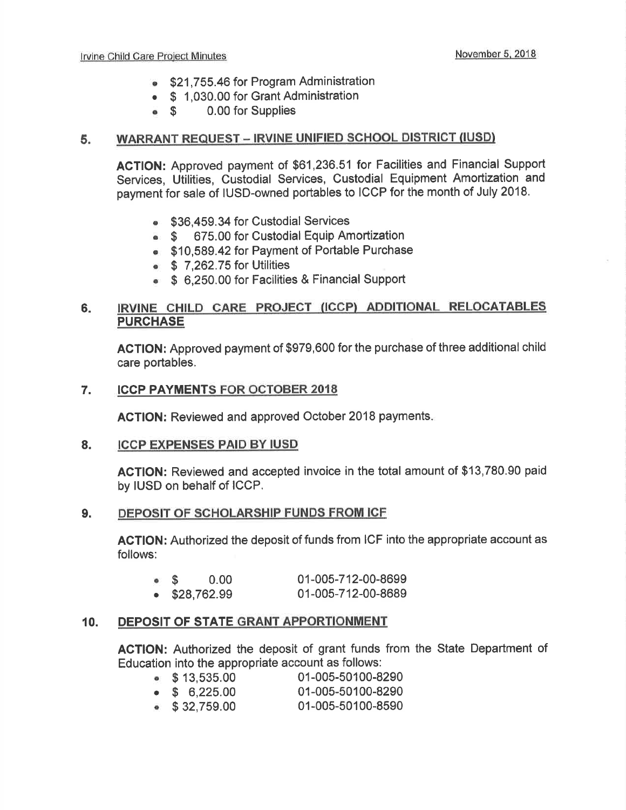- **SAU 521,755.46 for Program Administration**
- \$ 1,030.00 for Grant Administration<br>• \$ 0.00 for Supplies
- 0.00 for Supplies

#### 5. WARRANT REQUEST - IRVINE UNIFIED SCHOOL DISTRICT (IUSD)

ACTION: Approved payment of \$61,236.51 for Facilities and Financial Support Services, Utilities, Custodial Services, Custodial Equipment Amortization and payment for sale of IUSD-owned portables to ICCP for the month of July 2018.

- **\$36,459.34 for Custodial Services**
- **S** 675.00 for Custodial Equip Amortization
- **\$10,589.42 for Payment of Portable Purchase**
- o \$ 7,262.75 for Utilities
- **\$ 6,250.00 for Facilities & Financial Support**

#### IRVINE CHILD CARE PROJECT (ICCP) ADDITIONAL RELOCATABLES **PURCHASE** 6

AGTION: Approved payment of \$979,600 for the purchase of three additional child care portables.

#### 7. ICCP PAYMENTS FOR OCTOBER 2OI8

ACTION: Reviewed and approved October 2018 payments

#### ICCP EXPENSES PAID BY IUSD 8.

ACTION: Reviewed and accepted invoice in the total amount of \$13,780.90 paid by IUSD on behalf of ICCP.

#### 9. DEPOSIT OF SCHOLARSHIP FUNDS FROM ICF

AGTION: Authorized the deposit of funds from ICF into the appropriate account as follows:

| $\bullet$ S |                       | 0.00 | 01-005-712-00-8699 |
|-------------|-----------------------|------|--------------------|
|             | $\bullet$ \$28,762.99 |      | 01-005-712-00-8689 |

#### IO. DEPOSIT OF STATE GRANT APPORTIONMENT

AGTION: Authorized the deposit of grant funds from the State Department of

| Education into the appropriate account as follows: $\,$ |                   |
|---------------------------------------------------------|-------------------|
| $\bullet$ \$13,535.00                                   | 01-005-50100-8290 |
| $\bullet$ \$ 6,225.00                                   | 01-005-50100-8290 |
| $\sim$ 0.00 $\pm$ 0.00                                  | 04 OOE EO400 OEOO |

 $\bullet$  \$32,759.00 01-005-50100-8590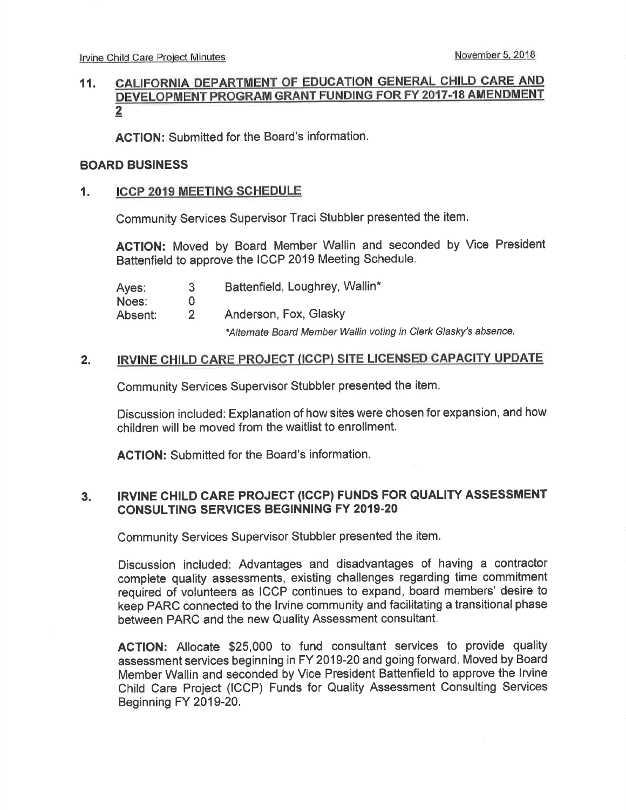## 11. GALIFORNIA DEPARTMENT OF EDUCATION GENERAL CHILD CARE AND DEVELOPMENT PROGRAM GRANT FUNDING FOR FY 2017-18 AMENDMENT 2

ACTION: Submitted for the Board's information.

#### BOARD BUSINESS

#### 1. ICCP 2019 MEETING SCHEDULE

Community Services Supervisor Traci Stubbler presented the item,

AGTION: Moved by Board Member Wallin and seconded by Vice President Battenfield to approve the ICCP 2019 Meeting Schedule.

| Ayes:   | З             | Battenfield, Loughrey, Wallin*                                              |
|---------|---------------|-----------------------------------------------------------------------------|
| Noes:   | O             |                                                                             |
| Absent: | $\mathcal{P}$ | Anderson, Fox, Glasky                                                       |
|         |               | a a tri in the film and a figure to a sub-figure that the second continuous |

\*Alternate Board Member Wallin voting in Clerk Glasky's absence.

#### 2. IRVINE CHILD CARE PROJECT (ICCP) SITE LICENSED CAPACITY UPDATE

Community Services Supervisor Stubbler presented the item.

Discussion included: Explanation of how sites were chosen for expansion, and how children will be moved from the waitlist to enrollment.

ACTION: Submitted for the Board's information.

#### IRVINE CHILD CARE PROJECT (ICCP) FUNDS FOR QUALITY ASSESSMENT CONSULTING SERVICES BEGINNING FY 2019.20 3.

Community Services Supervisor Stubbler presented the item.

Discussion included: Advantages and disadvantages of having a contractor complete quality assessments, existing challenges regarding time commitment required of volunteers as ICCP continues to expand, board members' desire to keep PARC connected to the lrvine community and facilitating a transitional phase between PARC and the new Quality Assessment consultant.

ACTION: Allocate \$25,000 to fund consultant services to provide quality assessment services beginning in FY 2019-20 and going forward. Moved by Board Member Wallin and seconded by Vice President Battenfield to approve the lrvine Child Care Project (ICCP) Funds for Quality Assessment Consulting Services Beginning FY 2019-20.